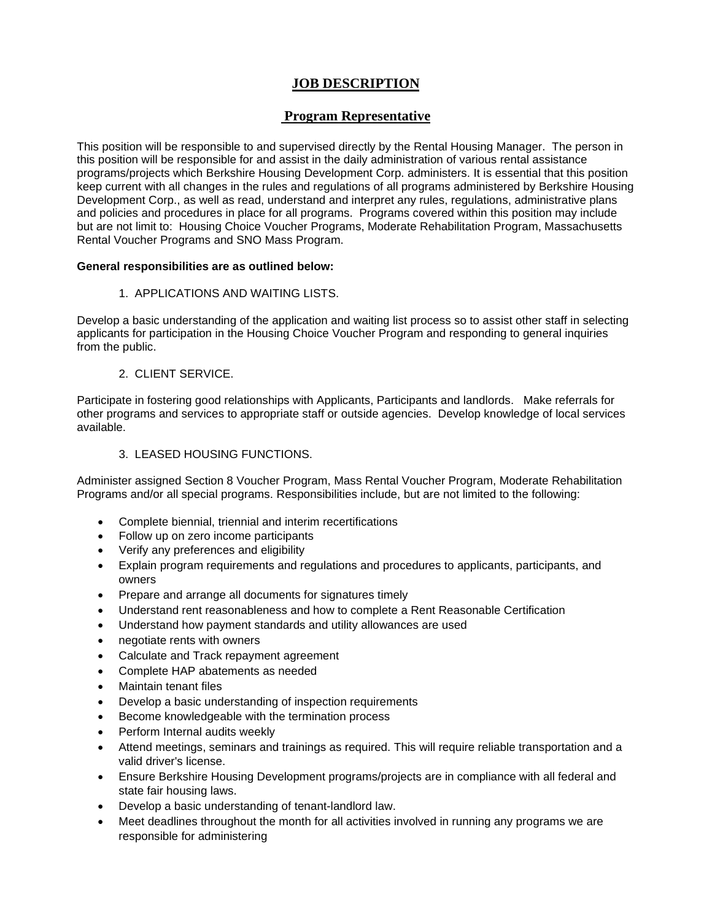# **JOB DESCRIPTION**

# **Program Representative**

This position will be responsible to and supervised directly by the Rental Housing Manager. The person in this position will be responsible for and assist in the daily administration of various rental assistance programs/projects which Berkshire Housing Development Corp. administers. It is essential that this position keep current with all changes in the rules and regulations of all programs administered by Berkshire Housing Development Corp., as well as read, understand and interpret any rules, regulations, administrative plans and policies and procedures in place for all programs. Programs covered within this position may include but are not limit to: Housing Choice Voucher Programs, Moderate Rehabilitation Program, Massachusetts Rental Voucher Programs and SNO Mass Program.

#### **General responsibilities are as outlined below:**

#### 1. APPLICATIONS AND WAITING LISTS.

Develop a basic understanding of the application and waiting list process so to assist other staff in selecting applicants for participation in the Housing Choice Voucher Program and responding to general inquiries from the public.

## 2. CLIENT SERVICE.

Participate in fostering good relationships with Applicants, Participants and landlords. Make referrals for other programs and services to appropriate staff or outside agencies. Develop knowledge of local services available.

## 3. LEASED HOUSING FUNCTIONS.

Administer assigned Section 8 Voucher Program, Mass Rental Voucher Program, Moderate Rehabilitation Programs and/or all special programs. Responsibilities include, but are not limited to the following:

- Complete biennial, triennial and interim recertifications
- Follow up on zero income participants
- Verify any preferences and eligibility
- Explain program requirements and regulations and procedures to applicants, participants, and owners
- Prepare and arrange all documents for signatures timely
- Understand rent reasonableness and how to complete a Rent Reasonable Certification
- Understand how payment standards and utility allowances are used
- negotiate rents with owners
- Calculate and Track repayment agreement
- Complete HAP abatements as needed
- Maintain tenant files
- Develop a basic understanding of inspection requirements
- Become knowledgeable with the termination process
- Perform Internal audits weekly
- Attend meetings, seminars and trainings as required. This will require reliable transportation and a valid driver's license.
- Ensure Berkshire Housing Development programs/projects are in compliance with all federal and state fair housing laws.
- Develop a basic understanding of tenant-landlord law.
- Meet deadlines throughout the month for all activities involved in running any programs we are responsible for administering